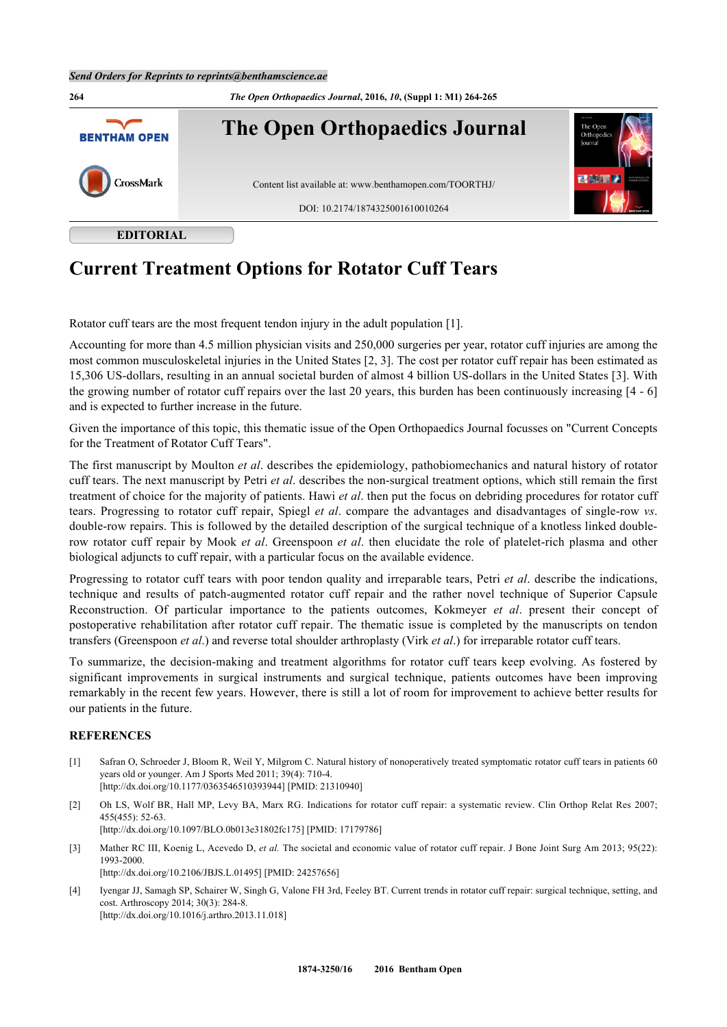

## **Current Treatment Options for Rotator Cuff Tears**

Rotator cuff tears are the most frequent tendon injury in the adult population [[1\]](#page--1-0).

Accounting for more than 4.5 million physician visits and 250,000 surgeries per year, rotator cuff injuries are among the most common musculoskeletal injuries in the United States [[2,](#page--1-0) [3\]](#page--1-0). The cost per rotator cuff repair has been estimated as 15,306 US-dollars, resulting in an annual societal burden of almost 4 billion US-dollars in the United States [[3\]](#page--1-0). With the growing number of rotator cuff repairs over the last 20 years, this burden has been continuously increasing [\[4](#page--1-0) - [6](#page--1-0)] and is expected to further increase in the future.

Given the importance of this topic, this thematic issue of the Open Orthopaedics Journal focusses on "Current Concepts for the Treatment of Rotator Cuff Tears".

The first manuscript by Moulton *et al*. describes the epidemiology, pathobiomechanics and natural history of rotator cuff tears. The next manuscript by Petri *et al*. describes the non-surgical treatment options, which still remain the first treatment of choice for the majority of patients. Hawi *et al*. then put the focus on debriding procedures for rotator cuff tears. Progressing to rotator cuff repair, Spiegl *et al*. compare the advantages and disadvantages of single-row *vs*. double-row repairs. This is followed by the detailed description of the surgical technique of a knotless linked doublerow rotator cuff repair by Mook *et al*. Greenspoon *et al*. then elucidate the role of platelet-rich plasma and other biological adjuncts to cuff repair, with a particular focus on the available evidence.

Progressing to rotator cuff tears with poor tendon quality and irreparable tears, Petri *et al*. describe the indications, technique and results of patch-augmented rotator cuff repair and the rather novel technique of Superior Capsule Reconstruction. Of particular importance to the patients outcomes, Kokmeyer *et al*. present their concept of postoperative rehabilitation after rotator cuff repair. The thematic issue is completed by the manuscripts on tendon transfers (Greenspoon *et al*.) and reverse total shoulder arthroplasty (Virk *et al*.) for irreparable rotator cuff tears.

To summarize, the decision-making and treatment algorithms for rotator cuff tears keep evolving. As fostered by significant improvements in surgical instruments and surgical technique, patients outcomes have been improving remarkably in the recent few years. However, there is still a lot of room for improvement to achieve better results for our patients in the future.

## **REFERENCES**

- [1] Safran O, Schroeder J, Bloom R, Weil Y, Milgrom C. Natural history of nonoperatively treated symptomatic rotator cuff tears in patients 60 years old or younger. Am J Sports Med 2011; 39(4): 710-4. [\[http://dx.doi.org/10.1177/0363546510393944\]](http://dx.doi.org/10.1177/0363546510393944) [PMID: [21310940](http://www.ncbi.nlm.nih.gov/pubmed/21310940)]
- [2] Oh LS, Wolf BR, Hall MP, Levy BA, Marx RG. Indications for rotator cuff repair: a systematic review. Clin Orthop Relat Res 2007; 455(455): 52-63. [\[http://dx.doi.org/10.1097/BLO.0b013e31802fc175\]](http://dx.doi.org/10.1097/BLO.0b013e31802fc175) [PMID: [17179786](http://www.ncbi.nlm.nih.gov/pubmed/17179786)]
- [3] Mather RC III, Koenig L, Acevedo D, et al. The societal and economic value of rotator cuff repair. J Bone Joint Surg Am 2013; 95(22): 1993-2000. [\[http://dx.doi.org/10.2106/JBJS.L.01495\]](http://dx.doi.org/10.2106/JBJS.L.01495) [PMID: [24257656](http://www.ncbi.nlm.nih.gov/pubmed/24257656)]
- [4] Iyengar JJ, Samagh SP, Schairer W, Singh G, Valone FH 3rd, Feeley BT. Current trends in rotator cuff repair: surgical technique, setting, and cost. Arthroscopy 2014; 30(3): 284-8. [\[http://dx.doi.org/10.1016/j.arthro.2013.11.018](http://dx.doi.org/10.1016/j.arthro.2013.11.018)]